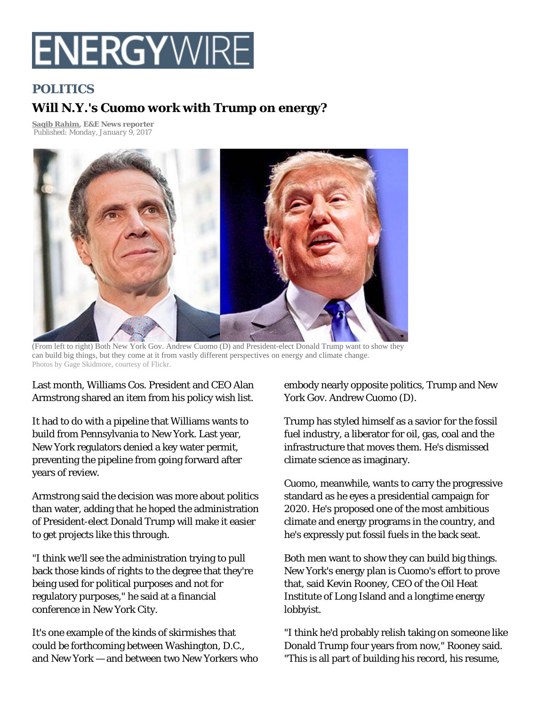# **ENERGYWIR**

## **POLITICS**

## **Will N.Y.'s Cuomo work with Trump on energy?**

**Saqib Rahim, E&E News reporter**  *Published: Monday, January 9, 2017* 



(From left to right) Both New York Gov. Andrew Cuomo (D) and President-elect Donald Trump want to show they can build big things, but they come at it from vastly different perspectives on energy and climate change. Photos by Gage Skidmore, courtesy of Flickr.

Last month, Williams Cos. President and CEO Alan Armstrong shared an item from his policy wish list.

It had to do with a pipeline that Williams wants to build from Pennsylvania to New York. Last year, New York regulators denied a key water permit, preventing the pipeline from going forward after years of review.

Armstrong said the decision was more about politics than water, adding that he hoped the administration of President-elect Donald Trump will make it easier to get projects like this through.

"I think we'll see the administration trying to pull back those kinds of rights to the degree that they're being used for political purposes and not for regulatory purposes," he said at a financial conference in New York City.

It's one example of the kinds of skirmishes that could be forthcoming between Washington, D.C., and New York — and between two New Yorkers who embody nearly opposite politics, Trump and New York Gov. Andrew Cuomo (D).

Trump has styled himself as a savior for the fossil fuel industry, a liberator for oil, gas, coal and the infrastructure that moves them. He's dismissed climate science as imaginary.

Cuomo, meanwhile, wants to carry the progressive standard as he eyes a presidential campaign for 2020. He's proposed one of the most ambitious climate and energy programs in the country, and he's expressly put fossil fuels in the back seat.

Both men want to show they can build big things. New York's energy plan is Cuomo's effort to prove that, said Kevin Rooney, CEO of the Oil Heat Institute of Long Island and a longtime energy lobbyist.

"I think he'd probably relish taking on someone like Donald Trump four years from now," Rooney said. "This is all part of building his record, his resume,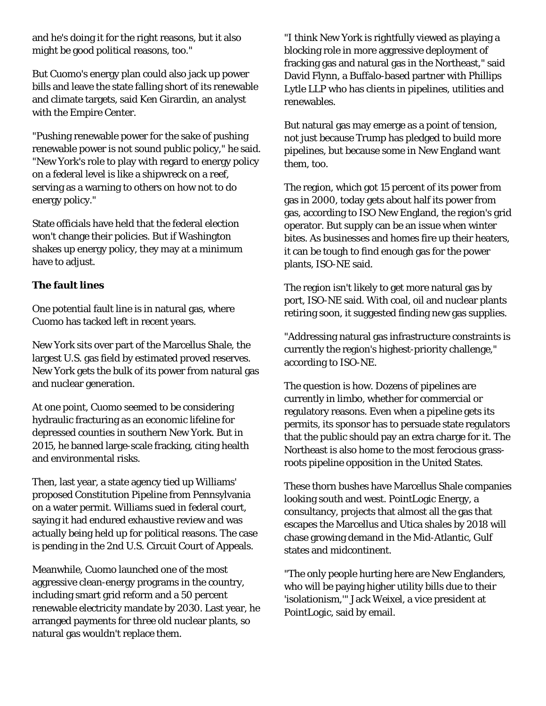and he's doing it for the right reasons, but it also might be good political reasons, too."

But Cuomo's energy plan could also jack up power bills and leave the state falling short of its renewable and climate targets, said Ken Girardin, an analyst with the Empire Center.

"Pushing renewable power for the sake of pushing renewable power is not sound public policy," he said. "New York's role to play with regard to energy policy on a federal level is like a shipwreck on a reef, serving as a warning to others on how not to do energy policy."

State officials have held that the federal election won't change their policies. But if Washington shakes up energy policy, they may at a minimum have to adjust.

### **The fault lines**

One potential fault line is in natural gas, where Cuomo has tacked left in recent years.

New York sits over part of the Marcellus Shale, the largest U.S. gas field by estimated proved reserves. New York gets the bulk of its power from natural gas and nuclear generation.

At one point, Cuomo seemed to be considering hydraulic fracturing as an economic lifeline for depressed counties in southern New York. But in 2015, he banned large-scale fracking, citing health and environmental risks.

Then, last year, a state agency tied up Williams' proposed Constitution Pipeline from Pennsylvania on a water permit. Williams sued in federal court, saying it had endured exhaustive review and was actually being held up for political reasons. The case is pending in the 2nd U.S. Circuit Court of Appeals.

Meanwhile, Cuomo launched one of the most aggressive clean-energy programs in the country, including smart grid reform and a 50 percent renewable electricity mandate by 2030. Last year, he arranged payments for three old nuclear plants, so natural gas wouldn't replace them.

"I think New York is rightfully viewed as playing a blocking role in more aggressive deployment of fracking gas and natural gas in the Northeast," said David Flynn, a Buffalo-based partner with Phillips Lytle LLP who has clients in pipelines, utilities and renewables.

But natural gas may emerge as a point of tension, not just because Trump has pledged to build more pipelines, but because some in New England want them, too.

The region, which got 15 percent of its power from gas in 2000, today gets about half its power from gas, according to ISO New England, the region's grid operator. But supply can be an issue when winter bites. As businesses and homes fire up their heaters, it can be tough to find enough gas for the power plants, ISO-NE said.

The region isn't likely to get more natural gas by port, ISO-NE said. With coal, oil and nuclear plants retiring soon, it suggested finding new gas supplies.

"Addressing natural gas infrastructure constraints is currently the region's highest-priority challenge," according to ISO-NE.

The question is how. Dozens of pipelines are currently in limbo, whether for commercial or regulatory reasons. Even when a pipeline gets its permits, its sponsor has to persuade state regulators that the public should pay an extra charge for it. The Northeast is also home to the most ferocious grassroots pipeline opposition in the United States.

These thorn bushes have Marcellus Shale companies looking south and west. PointLogic Energy, a consultancy, projects that almost all the gas that escapes the Marcellus and Utica shales by 2018 will chase growing demand in the Mid-Atlantic, Gulf states and midcontinent.

"The only people hurting here are New Englanders, who will be paying higher utility bills due to their 'isolationism,'" Jack Weixel, a vice president at PointLogic, said by email.